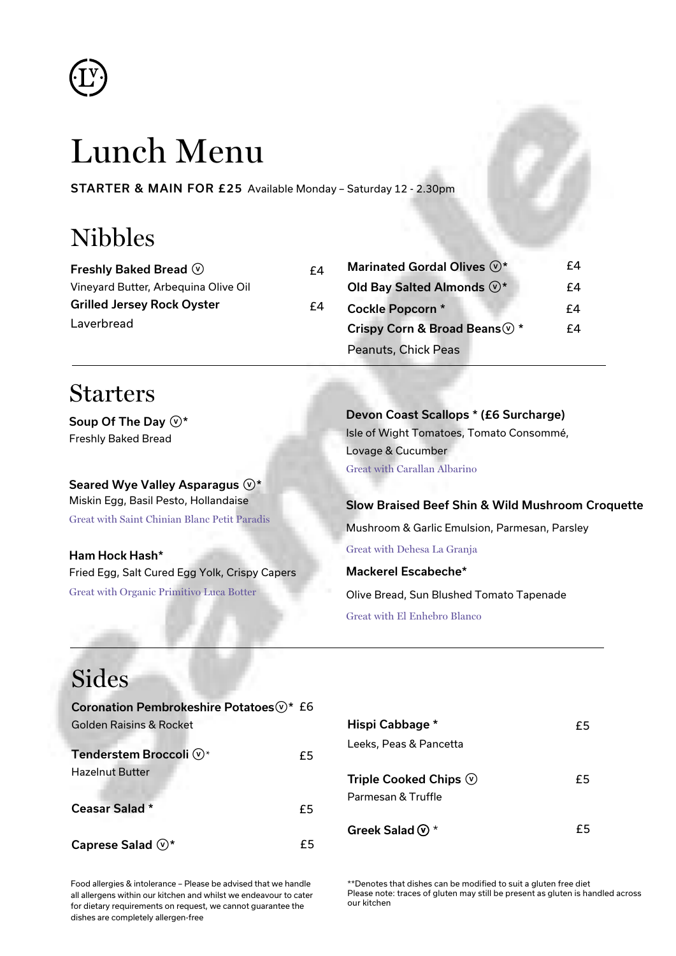

# Lunch Menu

STARTER & MAIN FOR £25 Available Monday – Saturday 12 - 2.30pm

 $f4$ 

## Nibbles

| Freshly Baked Bread $\mathcal{P}$    | f4 |
|--------------------------------------|----|
| Vineyard Butter, Arbeguina Olive Oil |    |
| <b>Grilled Jersey Rock Oyster</b>    | f4 |
| Laverbread                           |    |

| Marinated Gordal Olives $\mathbb{O}^*$   | f4 |
|------------------------------------------|----|
| Old Bay Salted Almonds $\mathbb{O}^*$    | f4 |
| <b>Cockle Popcorn *</b>                  | f4 |
| Crispy Corn & Broad Beans $\mathbb{Q}$ * | f4 |
| Peanuts, Chick Peas                      |    |

#### Starters

Soup Of The Day  $\mathbb{O}^*$ Freshly Baked Bread

Seared Wye Valley Asparagus  $\mathbb{O}^*$ Miskin Egg, Basil Pesto, Hollandaise Great with Saint Chinian Blanc Petit Paradis

Ham Hock Hash\* Fried Egg, Salt Cured Egg Yolk, Crispy Capers Great with Organic Primitivo Luca Botter

Devon Coast Scallops \* (£6 Surcharge) Isle of Wight Tomatoes, Tomato Consommé, Lovage & Cucumber Great with Carallan Albarino

Slow Braised Beef Shin & Wild Mushroom Croquette Mushroom & Garlic Emulsion, Parmesan, Parsley Great with Dehesa La Granja Mackerel Escabeche\*

Olive Bread, Sun Blushed Tomato Tapenade Great with El Enhebro Blanco

### Sides

| Coronation Pembrokeshire Potatoes V * £6 |    |
|------------------------------------------|----|
| Golden Raisins & Rocket                  |    |
|                                          |    |
| Tenderstem Broccoli (v)*                 | £5 |
| <b>Hazelnut Butter</b>                   |    |
|                                          |    |
| <b>Ceasar Salad *</b>                    | £5 |
|                                          |    |
| Caprese Salad $\mathbb{O}^*$             |    |

| Hispi Cabbage *                                          | £5 |
|----------------------------------------------------------|----|
| Leeks, Peas & Pancetta                                   |    |
| Triple Cooked Chips $\circledcirc$<br>Parmesan & Truffle | £5 |
| Greek Salad $\mathbb{O}^*$                               | £5 |

Food allergies & intolerance – Please be advised that we handle all allergens within our kitchen and whilst we endeavour to cater for dietary requirements on request, we cannot guarantee the dishes are completely allergen-free

\*\*Denotes that dishes can be modified to suit a gluten free diet Please note: traces of gluten may still be present as gluten is handled across our kitchen